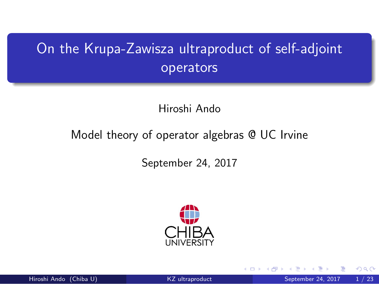On the Krupa-Zawisza ultraproduct of self-adjoint operators

Hiroshi Ando

Model theory of operator algebras @ UC Irvine

September 24, 2017



.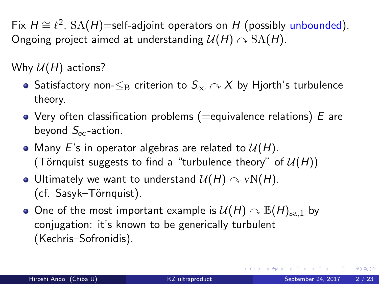Fix *H ∼*= *ℓ* 2 , SA(*H*)=self-adjoint operators on *H* (possibly unbounded). Ongoing project aimed at understanding  $U(H) \cap SA(H)$ .

Why  $U(H)$  actions?

- Satisfactory non-*≤*<sup>B</sup> criterion to *S<sup>∞</sup>* ↷ *X* by Hjorth's turbulence theory.
- Very often classification problems (=equivalence relations) *E* are beyond *S∞*-action.
- Many  $E$ 's in operator algebras are related to  $\mathcal{U}(H)$ . (Törnquist suggests to find a "turbulence theory" of  $U(H)$ )
- Ultimately we want to understand  $\mathcal{U}(H) \curvearrowright \text{vN}(H)$ . (cf. Sasyk-Törnquist).
- One of the most important example is  $U(H) \cap B(H)_{sa,1}$  by conjugation: it's known to be generically turbulent (Kechris–Sofronidis).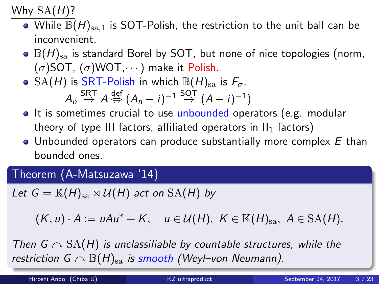#### Why SA(*H*)?

- $\bullet$  While  $\mathbb{B}(H)_{\text{sa},1}$  is SOT-Polish, the restriction to the unit ball can be inconvenient.
- $\bullet$   $\mathbb{B}(H)_{\text{sa}}$  is standard Borel by SOT, but none of nice topologies (norm, (*σ*)SOT, (*σ*)WOT,*· · ·*) make it Polish.
- $\circ$  SA(*H*) is SRT-Polish in which  $\mathbb{B}(H)_{\text{sa}}$  is  $F_{\sigma}$ .  $A_n \overset{\text{SRT}}{\rightarrow} A \overset{\text{def}}{\Leftrightarrow} (A_n - i)^{-1} \overset{\text{SOT}}{\rightarrow} (A - i)^{-1}$
- It is sometimes crucial to use unbounded operators (e.g. modular theory of type III factors, affiliated operators in  $II_1$  factors)
- Unbounded operators can produce substantially more complex *E* than bounded ones.

### . Theorem (A-Matsuzawa '14) .

*Let*  $G = \mathbb{K}(H)_{sa} \rtimes \mathcal{U}(H)$  *act on*  $SA(H)$  *by* 

$$
(K, u) \cdot A := uAu^* + K, \quad u \in \mathcal{U}(H), \; K \in \mathbb{K}(H)_{sa}, \; A \in \mathrm{SA}(H).
$$

*restriction G*  $\curvearrowright \mathbb{B}(H)_{\operatorname{sa}}$  *is smooth (Weyl–von Neumann). Then G*  $\sim$  SA(*H*) *is unclassifiable by countable structures, while the* 

| Hiroshi Ando (Chiba U) | KZ ultraproduct | September 24, 2017 | 3 / 23 |
|------------------------|-----------------|--------------------|--------|
|                        |                 |                    |        |

. . . . . .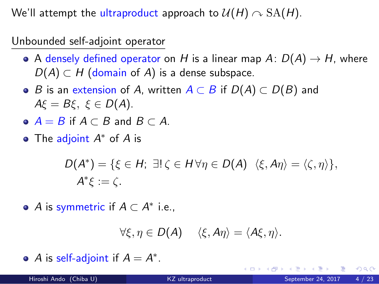We'll attempt the ultraproduct approach to  $U(H) \cap SA(H)$ .

Unbounded self-adjoint operator

- A densely defined operator on *H* is a linear map  $A: D(A) \rightarrow H$ , where  $D(A) \subset H$  (domain of *A*) is a dense subspace.
- *B* is an extension of *A*, written *A ⊂ B* if *D*(*A*) *⊂ D*(*B*) and *Aξ* = *Bξ, ξ ∈ D*(*A*).
- *A* = *B* if *A ⊂ B* and *B ⊂ A*.
- The adjoint *A <sup>∗</sup>* of *A* is

$$
D(A^*) = \{ \xi \in H; \exists! \zeta \in H \forall \eta \in D(A) \ \langle \xi, A\eta \rangle = \langle \zeta, \eta \rangle \},
$$
  

$$
A^* \xi := \zeta.
$$

*A* is symmetric if  $A \subset A^*$  i.e.,

*∀ξ, η ∈ D*(*A*) *⟨ξ, Aη⟩* = *⟨Aξ, η⟩.*

*A* is self-adjoint if  $A = A^*$ .

| $\bullet$ A is sen-adjoint if $A = A$ . |                 | - KED X K # X X B X X B X X B X 2 D X D & C |  |
|-----------------------------------------|-----------------|---------------------------------------------|--|
| Hiroshi Ando (Chiba U)                  | KZ ultraproduct | September 24, 2017 4 / 23                   |  |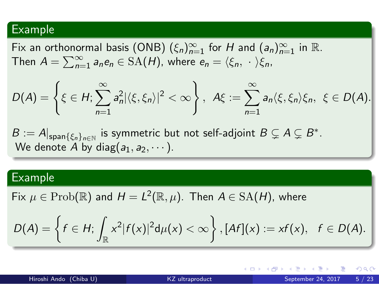## . Example

. Fix an orthonormal basis (ONB)  $(\xi_n)_{n=1}^{\infty}$  for  $H$  and  $(a_n)_{n=1}^{\infty}$  in  $\mathbb{R}$ . Then  $A = \sum_{n=1}^{\infty} a_n e_n \in \text{SA}(H)$ , where  $e_n = \langle \xi_n, \cdot \rangle \xi_n$ ,

$$
D(A) = \left\{\xi \in H: \sum_{n=1}^{\infty} a_n^2 |\langle \xi, \xi_n \rangle|^2 < \infty\right\}, \ \ A\xi := \sum_{n=1}^{\infty} a_n \langle \xi, \xi_n \rangle \xi_n, \ \xi \in D(A).
$$

 $B := A|_{\text{span}\{\xi_n\}_{n \in \mathbb{N}}}$  is symmetric but not self-adjoint  $B \subsetneq A \subsetneq B^*$ . We denote  $A$  by diag $(a_1, a_2, \dots).$ 

# . Example .

 $\mathsf{Fix} \ \mu \in \mathrm{Prob}(\mathbb{R})$  and  $H = L^2(\mathbb{R}, \mu).$  Then  $A \in \mathrm{SA}(H)$ , where

$$
D(A) = \left\{f \in H: \int_{\mathbb{R}} x^2 |f(x)|^2 d\mu(x) < \infty \right\}, [Af](x) := xf(x), \quad f \in D(A).
$$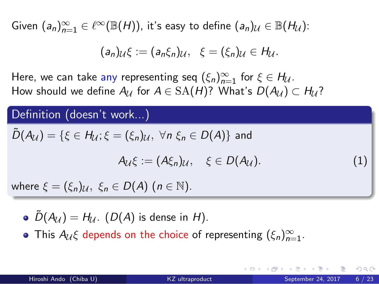$\mathsf{Given} \; (a_n)_{n=1}^\infty \in \ell^\infty(\mathbb{B}({H})),$  it's easy to define  $(a_n)_\mathcal{U} \in \mathbb{B}({H}_{\mathcal{U}}).$ 

$$
(a_n)_{\mathcal{U}}\xi := (a_n\xi_n)_{\mathcal{U}}, \quad \xi = (\xi_n)_{\mathcal{U}} \in H_{\mathcal{U}}.
$$

Here, we can take any representing seq  $(\xi_n)_{n=1}^{\infty}$  for  $\xi \in H_{\mathcal{U}}$ .  $H$ ow should we define  $A_{\mathcal{U}}$  for  $A\in {\rm SA}(H)$ ? What's  $D(A_{\mathcal{U}})\subset H_{\mathcal{U}}$ ?

. Definition (doesn't work...) . . where *ξ* = (*ξn*)*U, ξ<sup>n</sup> ∈ D*(*A*) (*n ∈* N).  $\tilde{D}(A_{\mathcal{U}}) = \{\xi \in H_{\mathcal{U}}; \xi = (\xi_n)_{\mathcal{U}}, \forall n \xi_n \in D(A)\}\$ and *A*<sub>*U*</sub>*ξ* := (*Aξ*<sub>*n*</sub>)*U,*  $\xi$   $\in$  *D*(*AU*)*.* (1)

- $\tilde{D}(A_{\mathcal{U}}) = H_{\mathcal{U}}$ .  $(D(A)$  is dense in *H*).
- This  $A_{\mathcal{U}}\xi$  depends on the choice of representing  $(\xi_n)_{n=1}^{\infty}$ .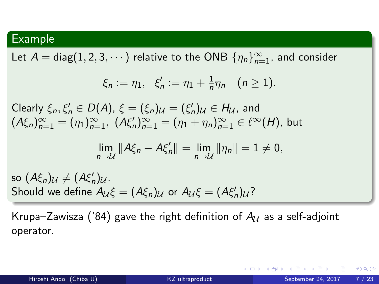### . Example .

Let  $A = \text{diag}(1, 2, 3, \dots)$  relative to the ONB  $\{\eta_n\}_{n=1}^{\infty}$ , and consider

$$
\xi_n := \eta_1, \ \xi'_n := \eta_1 + \frac{1}{n} \eta_n \ \ (n \geq 1).
$$

 $\mathcal{L}$  Clearly  $\xi_n, \xi'_n \in D(A), \xi = (\xi_n)_{\mathcal{U}} = (\xi'_n)_{\mathcal{U}} \in H_{\mathcal{U}}$ , and  $(A\xi_n)_{n=1}^{\infty} = (\eta_1)_{n=1}^{\infty}, \ (A\xi'_n)_{n=1}^{\infty} = (\eta_1 + \eta_n)_{n=1}^{\infty} \in \ell^{\infty}(H)$ , but

$$
\lim_{n\to\mathcal{U}}\|A\xi_n-A\xi'_n\|=\lim_{n\to\mathcal{U}}\|\eta_n\|=1\neq 0,
$$

Should we define  $A_{\mathcal{U}}\xi = (A\xi_n)_{\mathcal{U}}$  or  $A_{\mathcal{U}}\xi = (A\xi'_n)_{\mathcal{U}}$ ?  $\mathsf{so} \; (A\xi_n)_{\mathcal{U}} \neq (A\xi'_n)_{\mathcal{U}}$ .

Krupa–Zawisza ('84) gave the right definition of  $A_U$  as a self-adjoint operator.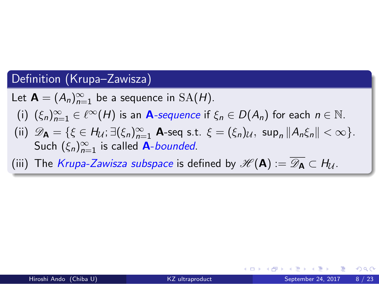#### . Definition (Krupa–Zawisza) .

Let  $\mathbf{A} = (A_n)_{n=1}^{\infty}$  be a sequence in  $SA(H)$ .

- $(i)$   $(\xi_n)_{n=1}^{\infty} \in \ell^{\infty}(H)$  is an **A**-sequence if  $\xi_n \in D(A_n)$  for each  $n \in \mathbb{N}$ .
- (ii)  $\mathscr{D}_{\mathbf{A}} = \{ \xi \in H_{\mathcal{U}}; \exists (\xi_n)_{n=1}^{\infty} \mathbf{A} \text{-seq s.t. } \xi = (\xi_n)_{\mathcal{U}}, \text{ sup}_n || A_n \xi_n || < \infty \}.$ Such  $(\xi_n)_{n=1}^{\infty}$  is called A-*bounded*.
- (iii) The *Krupa-Zawisza subspace* is defined by  $\mathscr{H}(\mathsf{A}) = \mathscr{D}_{\mathsf{A}} \subset H_{\mathcal{U}}$ .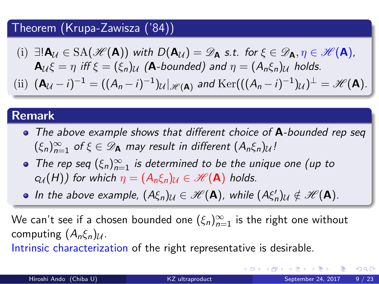### . Theorem (Krupa-Zawisza ('84)) .

- $(D) \exists ! \mathbf{A}_{\mathcal{U}} \in \text{SA}(\mathscr{H}(\mathbf{A}))$  with  $D(\mathbf{A}_{\mathcal{U}}) = \mathscr{D}_{\mathbf{A}}$  s.t. for  $\xi \in \mathscr{D}_{\mathbf{A}}, \eta \in \mathscr{H}(\mathbf{A})$ ,  ${\bf A}_U \xi = \eta$  *iff*  $\xi = (\xi_n)U$  ( ${\bf A}$ -bounded) and  $\eta = (A_n \xi_n)U$  holds.
- (ii)  $(\mathbf{A}_{\mathcal{U}} i)^{-1} = ((A_n i)^{-1})_{\mathcal{U}}|_{\mathscr{H}(\mathbf{A})}$  and  $\text{Ker}(((A_n i)^{-1})_{\mathcal{U}})^{\perp} = \mathscr{H}(\mathbf{A}).$

# . **Remark** .

- *The above example shows that different choice of* **A***-bounded rep seq*  $(\xi_n)_{n=1}^{\infty}$  of  $\xi \in \mathscr{D}_A$  may result in different  $(A_n\xi_n)_{\mathcal{U}}$ !
- *The rep seq*  $(\xi_n)_{n=1}^{\infty}$  *is determined to be the unique one (up to c*<sub>*U*</sub>(*H*)*)* for which  $\eta = (A_n \xi_n)$ *U*  $\in \mathcal{H}(\mathbf{A})$  holds.
- *In the above example,*  $(A\xi_n)_{\mathcal{U}} \in \mathcal{H}(\mathbf{A})$ *, while*  $(A\xi'_n)_{\mathcal{U}} \notin \mathcal{H}(\mathbf{A})$ *.*

We can't see if a chosen bounded one  $(\xi_n)_{n=1}^\infty$  is the right one without computing (*Anξn*)*U*.

Intrinsic characterization of the right representative is desirable.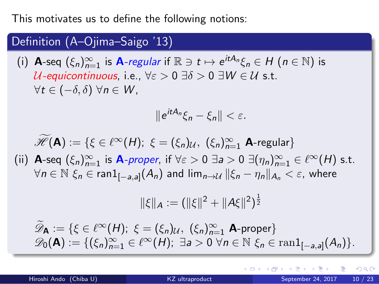This motivates us to define the following notions:

## . . . . . . . Definition (A–Ojima–Saigo '13) .  $(i)$  **A**-seq  $(\xi_n)_{n=1}^{\infty}$  is **A***-regular* if  $\mathbb{R} \ni t \mapsto e^{itA_n}\xi_n \in H$   $(n \in \mathbb{N})$  is *U-equicontinuous*, i.e., *∀ε >* 0 *∃δ >* 0 *∃W ∈ U* s.t. *∀t ∈* (*−δ, δ*) *∀n ∈ W* , *∥e itA<sup>n</sup> ξ<sup>n</sup> − ξn∥ < ε.*  $\widetilde{\mathscr{H}}(\mathbf{A}) := \{ \xi \in \ell^{\infty}(H); \ \xi = (\xi_n)_{\mathcal{U}}, \ (\xi_n)_{n=1}^{\infty} \mathbf{A}$ -regular $\}$ (ii) **A**-seq  $(\xi_n)_{n=1}^{\infty}$  is **A***-proper*, if  $\forall \varepsilon > 0$   $\exists a > 0$   $\exists (\eta_n)_{n=1}^{\infty} \in \ell^{\infty}(H)$  s.t.  $\forall n\in\mathbb{N}~\xi_n\in\mathsf{ran}1_{[-a,a]}(A_n)$  and  $\lim_{n\to\mathcal{U}}\|\xi_n-\eta_n\|_{A_n}<\varepsilon$ , where  $||\xi||_A := (||\xi||^2 + ||A\xi||^2)^{\frac{1}{2}}$  $\mathscr{D}_\mathbf{A} := \{ \xi \in \ell^\infty(H); \ \xi = (\xi_n)_\mathcal{U}, \ (\xi_n)_{n=1}^\infty \ \mathbf{A}$ -proper}  $\mathscr{D}_0(\mathbf{A}) := \{(\xi_n)_{n=1}^\infty \in \ell^\infty(H); \exists a > 0 \,\forall n \in \mathbb{N} \,\xi_n \in \text{ran}1_{[-a,a]}(A_n)\}.$ Hiroshi Ando (Chiba U) KZ ultraproduct September 24, 2017 10 / 23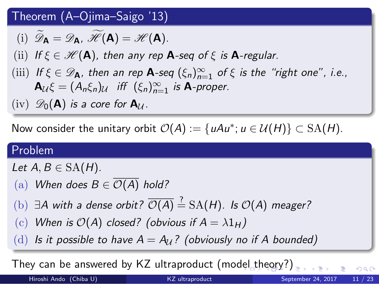### . Theorem (A–Ojima–Saigo '13) .

 $(\text{i})$   $\mathscr{D}_{\mathbf{A}} = \mathscr{D}_{\mathbf{A}}$ ,  $\mathscr{H}(\mathbf{A}) = \mathscr{H}(\mathbf{A})$ .

- (ii) *If*  $\xi \in \mathcal{H}(\mathbf{A})$ , then any rep **A**-seq of  $\xi$  is **A**-regular.
- (iii) *If*  $\xi \in \mathscr{D}_A$ *, then an rep* **A**-seq  $(\xi_n)_{n=1}^{\infty}$  *of*  $\xi$  *is the "right one", i.e.,*  $\mathbf{A}_{\mathcal{U}}\xi = (A_n\xi_n)_{\mathcal{U}}$  *iff*  $(\xi_n)_{n=1}^{\infty}$  *is*  $\mathbf{A}$ *-proper.*
- $(\text{iv})$   $\mathscr{D}_0(\mathbf{A})$  *is a core for*  $\mathbf{A}_\mathcal{U}$ *.*

Now consider the unitary orbit  $\mathcal{O}(A) := \{ uAu^*; u \in \mathcal{U}(H) \} \subset \text{SA}(H)$ .

# . Problem .

 $Let A, B \in SA(H)$ *.* 

- (a) *When does*  $B \in \overline{\mathcal{O}(A)}$  *hold?*
- $($ b $)$   $\exists$ *A* with a dense orbit?  $\overline{\mathcal{O}(A)} \stackrel{?}{=}$  SA(*H*)*.* Is  $\mathcal{O}(A)$  meager?
- (c) When is  $O(A)$  *closed?* (obvious if  $A = \lambda 1_H$ )
- (d) Is it possible to have  $A = A_{\mathcal{U}}$ ? (obviously no if A bounded)

They can be answered by KZ ultraproduct  $(\mathsf{model\_theqy?})_{\equiv \;\succ\; \;\succ\; \;\equiv \;\succ}$  . Hiroshi Ando (Chiba U) KZ ultraproduct September 24, 2017 11 / 23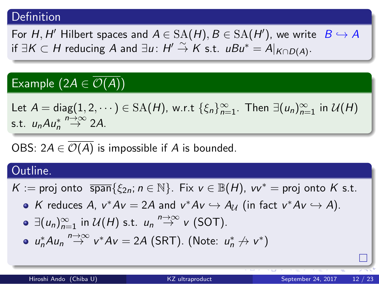#### . Definition .

. For  $H$ ,  $H'$  Hilbert spaces and  $A \in \mathrm{SA}(H)$ ,  $B \in \mathrm{SA}(H')$ , we write  $B \hookrightarrow A$  $H' \overset{\sim}{\rightarrow} K$  s.t.  $uBu^* = A|_{K \cap D(A)}.$ 

### . Example  $(2A \in \mathcal{O}(A))$

.  $\mathsf{Let}\ A = \mathsf{diag}(1, 2, \dots) \in \mathrm{SA}(\mathcal{H})$ , w.r.t  $\{\xi_n\}_{n=1}^\infty$ . Then  $\exists (u_n)_{n=1}^\infty$  in  $\mathcal{U}(\mathcal{H})$ s.t.  $u_n A u_n^* \stackrel{n \to \infty}{\to} 2A$ .

OBS:  $2A \in \overline{\mathcal{O}(A)}$  is impossible if *A* is bounded.

#### . Outline. .

 $K :=$  proj onto  $\overline{span}$ { $\xi_{2n}$ ; *n* ∈ ℕ}. Fix *v* ∈ ℝ(*H*), *vv*<sup>\*</sup> = proj onto *K* s.t.

*K* reduces *A*,  $v^*Av = 2A$  and  $v^*Av \hookrightarrow A_{\mathcal{U}}$  (in fact  $v^*Av \hookrightarrow A$ ).

- *∃*(*un*)*<sup>∞</sup> <sup>n</sup>*=1 in *U*(*H*) s.t. *u<sup>n</sup> <sup>n</sup>→∞→ v* (SOT).
- *u*<sup>\*</sup><sub>*n*</sub><sup>*n*→∞</sup> *v*<sup>\*</sup>*Av* = 2*A* (SRT). (Note: *u*<sup>\*</sup><sub>*n*</sub> *→ v*<sup>\*</sup>)

 $\Box$ 

. . . . . .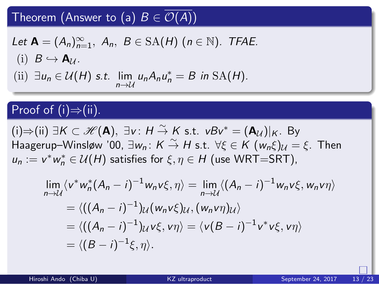### . Theorem (Answer to (a)  $B \in \mathcal{O}(A)$ )

Let 
$$
\mathbf{A} = (A_n)_{n=1}^{\infty}
$$
,  $A_n$ ,  $B \in SA(H)$  ( $n \in \mathbb{N}$ ). *TFAE*.  
\n(i)  $B \hookrightarrow \mathbf{A}_U$ .  
\n(ii)  $\exists u_n \in \mathcal{U}(H)$  s.t.  $\lim_{n \to \mathcal{U}} u_n A_n u_n^* = B$  in SA(H).

### . Proof of (i)*⇒*(ii). .

 $(i) \Rightarrow (ii) \exists K \subset \mathcal{H}(\mathbf{A}), \exists v : H \stackrel{\sim}{\rightarrow} K \text{ s.t. } vBv^* = (\mathbf{A}_{\mathcal{U}})|_K$ . By  $\lim_{n \to \infty} \frac{1}{n} \int_0^{\infty} \frac{1}{n} \, dx$  *j*  $\lim_{n \to \infty} \frac{1}{n}$  *K*  $\frac{2}{n}$  *H* s.t.  $\forall \xi \in K$   $(w_n \xi)_U = \xi$ . Then  $u_n := v^* w_n^* \in \mathcal{U}(H)$  satisfies for  $\xi, \eta \in H$  (use WRT=SRT),

$$
\lim_{n \to \mathcal{U}} \langle v^* w_n^* (A_n - i)^{-1} w_n v \xi, \eta \rangle = \lim_{n \to \mathcal{U}} \langle (A_n - i)^{-1} w_n v \xi, w_n v \eta \rangle
$$
  
=  $\langle ((A_n - i)^{-1}) \mathcal{U} (w_n v \xi) \mathcal{U}, (w_n v \eta) \mathcal{U} \rangle$   
=  $\langle ((A_n - i)^{-1}) \mathcal{U} v \xi, v \eta \rangle = \langle v (B - i)^{-1} v^* v \xi, v \eta \rangle$   
=  $\langle (B - i)^{-1} \xi, \eta \rangle$ .

.

 $\Box$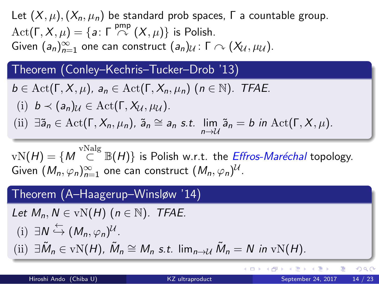Let  $(X, \mu)$ ,  $(X_n, \mu_n)$  be standard prob spaces,  $\Gamma$  a countable group.  $\text{Act}(\Gamma, X, \mu) = \{a \colon \Gamma \stackrel{\text{pmp}}{\curvearrowright (X, \mu)\} \text{ is Polish.}$  $G$ iven  $(a_n)_{n=1}^{\infty}$  one can construct  $(a_n)_{\mathcal{U}}$ :  $\Gamma \curvearrowright (X_{\mathcal{U}}, \mu_{\mathcal{U}})$ .

#### . Theorem (Conley–Kechris–Tucker–Drob '13) .

 $b \in \text{Act}(\Gamma, X, \mu)$ *, a<sub>n</sub>*  $\in \text{Act}(\Gamma, X_n, \mu_n)$  (*n*  $\in \mathbb{N}$ )*. TFAE.* 

- (i)  $b \prec (a_n)_{\mathcal{U}} \in \text{Act}(\Gamma, X_{\mathcal{U}}, \mu_{\mathcal{U}}).$
- (ii)  $\exists \tilde{a}_n \in \text{Act}(\Gamma, X_n, \mu_n)$ ,  $\tilde{a}_n \cong a_n$  s.t.  $\lim_{n \to \mathcal{U}} \tilde{a}_n = b$  in  $\text{Act}(\Gamma, X, \mu)$ .

 $\mathrm{vN}(H) = \{ M \stackrel{\mathrm{vNalg}}{\subset} \mathbb{B}(H) \}$  is Polish w.r.t. the *Effros-Maréchal* topology.  $\mathsf{Given} \, \left( M_n, \varphi_n \right)_{n=1}^{\infty}$  one can construct  $\left( M_n, \varphi_n \right)^\mathcal{U}.$ 

#### . Theorem (A–Haagerup–Winsløw '14) .

 $Let M_n, N \in vN(H)$   $(n \in \mathbb{N})$ *. TFAE.* 

- $(i) \exists N \stackrel{\leftarrow}{\hookrightarrow} (M_n, \varphi_n)^{\mathcal{U}}$ .
- (ii)  $\exists \tilde{M}_n \in \text{vN}(H)$ ,  $\tilde{M}_n \cong M_n$  *s.t.* lim<sub>n→*U*</sub>  $\tilde{M}_n = N$  in vN(*H*).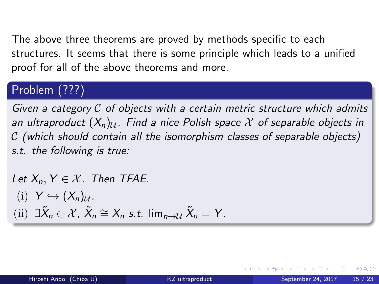The above three theorems are proved by methods specific to each structures. It seems that there is some principle which leads to a unified proof for all of the above theorems and more.

#### . Problem (???) .

*Given a category C of objects with a certain metric structure which admits* an ultraproduct  $(X_n)_{\mathcal{U}}$ . Find a nice Polish space  $\mathcal X$  of separable objects in *C (which should contain all the isomorphism classes of separable objects) s.t. the following is true:*

*Let*  $X_n, Y \in \mathcal{X}$ *. Then TFAE.* 

- $(Y \hookrightarrow (X_n)_U$ .
- $\left\langle \text{iii} \right\rangle \exists \tilde{X}_n \in \mathcal{X}, \ \tilde{X}_n \cong X_n \text{ s.t. } \lim_{n \to \mathcal{U}} \tilde{X}_n = Y.$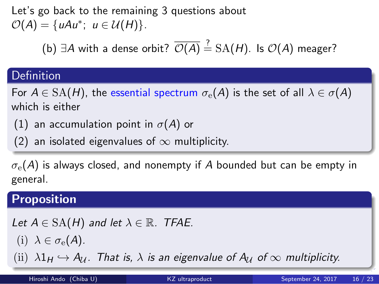Let's go back to the remaining 3 questions about  $\mathcal{O}(A) = \{uAu^*; u \in \mathcal{U}(H)\}.$ 

(b)  $∃A$  with a dense orbit?  $\overline{\mathcal{O}(A)} \stackrel{?}{=}$  SA(*H*). Is  $\mathcal{O}(A)$  meager?

# . Definition .

For  $A \in SA(H)$ , the essential spectrum  $\sigma_e(A)$  is the set of all  $\lambda \in \sigma(A)$ which is either

- (1) an accumulation point in *σ*(*A*) or
- . (2) an isolated eigenvalues of *∞* multiplicity.

*σ*e(*A*) is always closed, and nonempty if *A* bounded but can be empty in general.

. . . . . . . **Proposition** . (ii)  $\lambda 1_H \hookrightarrow A_U$ . That is,  $\lambda$  is an eigenvalue of  $A_U$  of  $\infty$  multiplicity. *Let*  $A \in SA(H)$  *and let*  $\lambda \in \mathbb{R}$ *. TFAE.* (i)  $\lambda \in \sigma_{\rm e}(A)$ . Hiroshi Ando (Chiba U) KZ ultraproduct September 24, 2017 16 / 23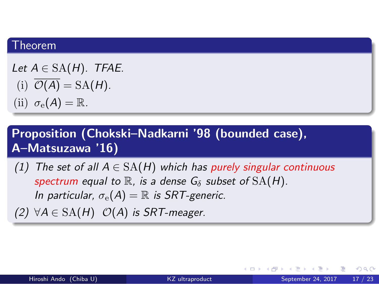# . Theorem .

*Let A ∈* SA(*H*)*. TFAE.*

- (i)  $\overline{\mathcal{O}(A)} = SA(H)$ .
- (ii)  $\sigma_{\rm e}(A) = \mathbb{R}$ .

. **Proposition (Chokski–Nadkarni '98 (bounded case), A–Matsuzawa '16)** .

- *(1) The set of all A ∈* SA(*H*) *which has purely singular continuous spectrum equal to*  $\mathbb R$ *, is a dense*  $G_{\delta}$  *subset of*  $SA(H)$ *. In particular,*  $\sigma_e(A) = \mathbb{R}$  *is SRT-generic.*
- $(2)$  ∀ $A \in SA(H)$  *O*(*A*) *is SRT-meager.*

 $\left\{ \begin{array}{ccc} \left\langle \begin{array}{ccc} \alpha & \beta & \gamma \end{array} \right\rangle & \left\langle \begin{array}{ccc} \alpha & \beta & \gamma \end{array} \right\rangle & \left\langle \begin{array}{ccc} \beta & \gamma \end{array} \right\rangle & \left\langle \begin{array}{ccc} \beta & \gamma \end{array} \right\rangle & \left\langle \begin{array}{ccc} \beta & \gamma \end{array} \right\rangle & \left\langle \begin{array}{ccc} \beta & \gamma \end{array} \right\rangle & \left\langle \begin{array}{ccc} \beta & \gamma \end{array} \right\rangle & \left\langle \begin{array}{ccc} \beta & \gamma \end{array}$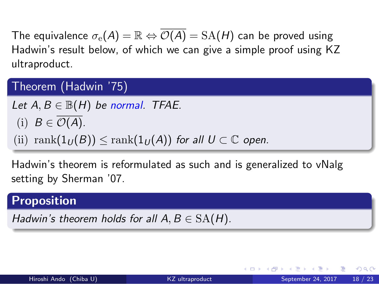The equivalence  $\sigma_e(A) = \mathbb{R} \Leftrightarrow \overline{\mathcal{O}(A)} = \text{SA}(H)$  can be proved using Hadwin's result below, of which we can give a simple proof using KZ ultraproduct.

#### . Theorem (Hadwin '75) .

 $Let A, B \in \mathbb{B}(H)$  *be normal. TFAE.* 

(i)  $B \in \overline{\mathcal{O}(A)}$ .

(ii)  $\text{rank}(1_U(B)) \leq \text{rank}(1_U(A))$  *for all*  $U \subset \mathbb{C}$  *open.* 

Hadwin's theorem is reformulated as such and is generalized to vNalg setting by Sherman '07.

. **Proposition** .

*Hadwin's theorem holds for all*  $A, B \in SA(H)$ *.*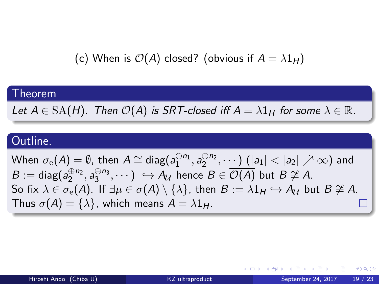(c) When is  $O(A)$  closed? (obvious if  $A = \lambda 1_H$ )

| <b>Theorem</b>                                                                                                                                                                                                                                                                                                                                                                                                                                                                                                                                               |
|--------------------------------------------------------------------------------------------------------------------------------------------------------------------------------------------------------------------------------------------------------------------------------------------------------------------------------------------------------------------------------------------------------------------------------------------------------------------------------------------------------------------------------------------------------------|
| Let $A \in SA(H)$ . Then $\mathcal{O}(A)$ is SRT-closed iff $A = \lambda 1_H$ for some $\lambda \in \mathbb{R}$ .                                                                                                                                                                                                                                                                                                                                                                                                                                            |
|                                                                                                                                                                                                                                                                                                                                                                                                                                                                                                                                                              |
| Outline.                                                                                                                                                                                                                                                                                                                                                                                                                                                                                                                                                     |
| When $\sigma_{\rm e}(A) = \emptyset$ , then $A \cong \text{diag}(a_1^{\oplus n_1}, a_2^{\oplus n_2}, \cdots)$ $( a_1  <  a_2  \nearrow \infty)$ and<br>$B := diag(a_2^{\oplus n_2}, a_3^{\oplus n_3}, \cdots) \hookrightarrow A_{\mathcal{U}}$ hence $B \in \overline{\mathcal{O}(A)}$ but $B \not\cong A$ .<br>So fix $\lambda \in \sigma_{\rm e}(A)$ . If $\exists \mu \in \sigma(A) \setminus \{\lambda\}$ , then $B := \lambda 1_H \hookrightarrow A_{\mathcal{U}}$ but $B \ncong A$ .<br>Thus $\sigma(A) = {\lambda}$ , which means $A = \lambda 1_H$ . |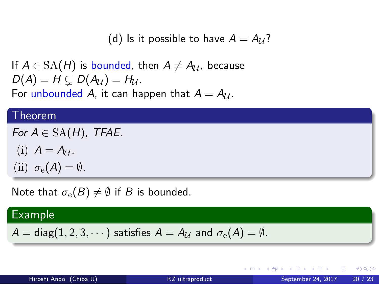(d) Is it possible to have  $A = A_{\mathcal{U}}$ ?

If  $A \in \text{SA}(H)$  is bounded, then  $A \neq A_U$ , because  $D(A) = H \subsetneq D(A_U) = H_U$ . For unbounded *A*, it can happen that  $A = A_{U}$ .

# . Theorem .

 $For A \in SA(H)$ , TFAE. (i)  $A = A_{\mathcal{U}}$ .

(ii)  $\sigma_e(A) = \emptyset$ *.* 

Note that  $\sigma_e(B) \neq \emptyset$  if *B* is bounded.

. Example .  $A = \text{diag}(1, 2, 3, \dots)$  satisfies  $A = A_{\mathcal{U}}$  and  $\sigma_{e}(A) = \emptyset$ .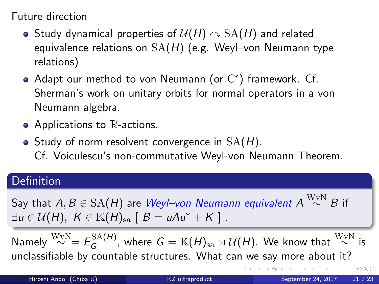Future direction

- Study dynamical properties of  $\mathcal{U}(H) \cap \mathrm{SA}(H)$  and related equivalence relations on SA(*H*) (e.g. Weyl–von Neumann type relations)
- Adapt our method to von Neumann (or C*<sup>∗</sup>* ) framework. Cf. Sherman's work on unitary orbits for normal operators in a von Neumann algebra.
- Applications to R-actions.
- Study of norm resolvent convergence in SA(*H*). Cf. Voiculescu's non-commutative Weyl-von Neumann Theorem.

# . Definition .

. *∃u ∈ U*(*H*)*, K ∈* K(*H*)sa [ *B* = *uAu<sup>∗</sup>* + *K* ] .  $S$ ay that  $A,B\in{\rm{SA}}(H)$  are  $W$ eyl—von  $N$ eumann equivalent  $A\stackrel{\rm{WvN}}{\sim}B$  if

Namely  $\stackrel{\text{WvN}}{\sim}$  =  $E_G^{\text{SA}(H)}$  $G^{SA(H)}_G$ , where  $G = \mathbb{K}(H)_{\operatorname{sa}} \rtimes \mathcal{U}(H).$  We know that  $\stackrel{\text{WvN}}{\sim}$  is unclassifiable by countable structures. What can we say more about it?

|                        |                 | - ∢ ロ ▶ - ∢ 丹 ▶ - ∢ ヨ ▶ - (日 ト - イヨ ▶ - 三ヨ - イ) Q (ひ |  |
|------------------------|-----------------|------------------------------------------------------|--|
| Hiroshi Ando (Chiba U) | KZ ultraproduct | September 24, 2017 21 / 23                           |  |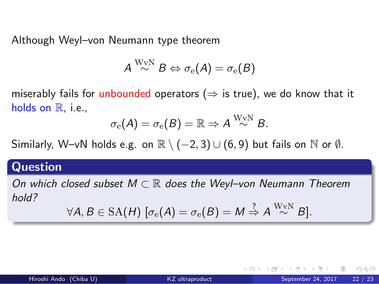Although Weyl–von Neumann type theorem

$$
A\stackrel{\rm WvN}{\sim}B\Leftrightarrow \sigma_{\rm e}(A)=\sigma_{\rm e}(B)
$$

miserably fails for unbounded operators (*⇒* is true), we do know that it holds on  $\mathbb{R}$ , i.e.,

$$
\sigma_\mathrm{e}(A) = \sigma_\mathrm{e}(B) = \mathbb{R} \Rightarrow A \stackrel{\mathrm{W}_\mathrm{V}\mathrm{N}}{\sim} B.
$$

Similarly, W–vN holds e.g. on R *\* (*−*2*,* 3) *∪* (6*,* 9) but fails on N or *∅*.

# . **Question** .

*On which closed subset M ⊂* R *does the Weyl–von Neumann Theorem hold?*  $\overline{\phantom{a}}$ WvN *∼ B*]*.*

$$
\forall A, B \in {\rm SA(H)} \; [\sigma_{\rm e}(A) = \sigma_{\rm e}(B) = M \stackrel{\scriptscriptstyle \perp}{\Rightarrow} A \stackrel{\scriptscriptstyle \text{WVN}}{\sim} B].
$$